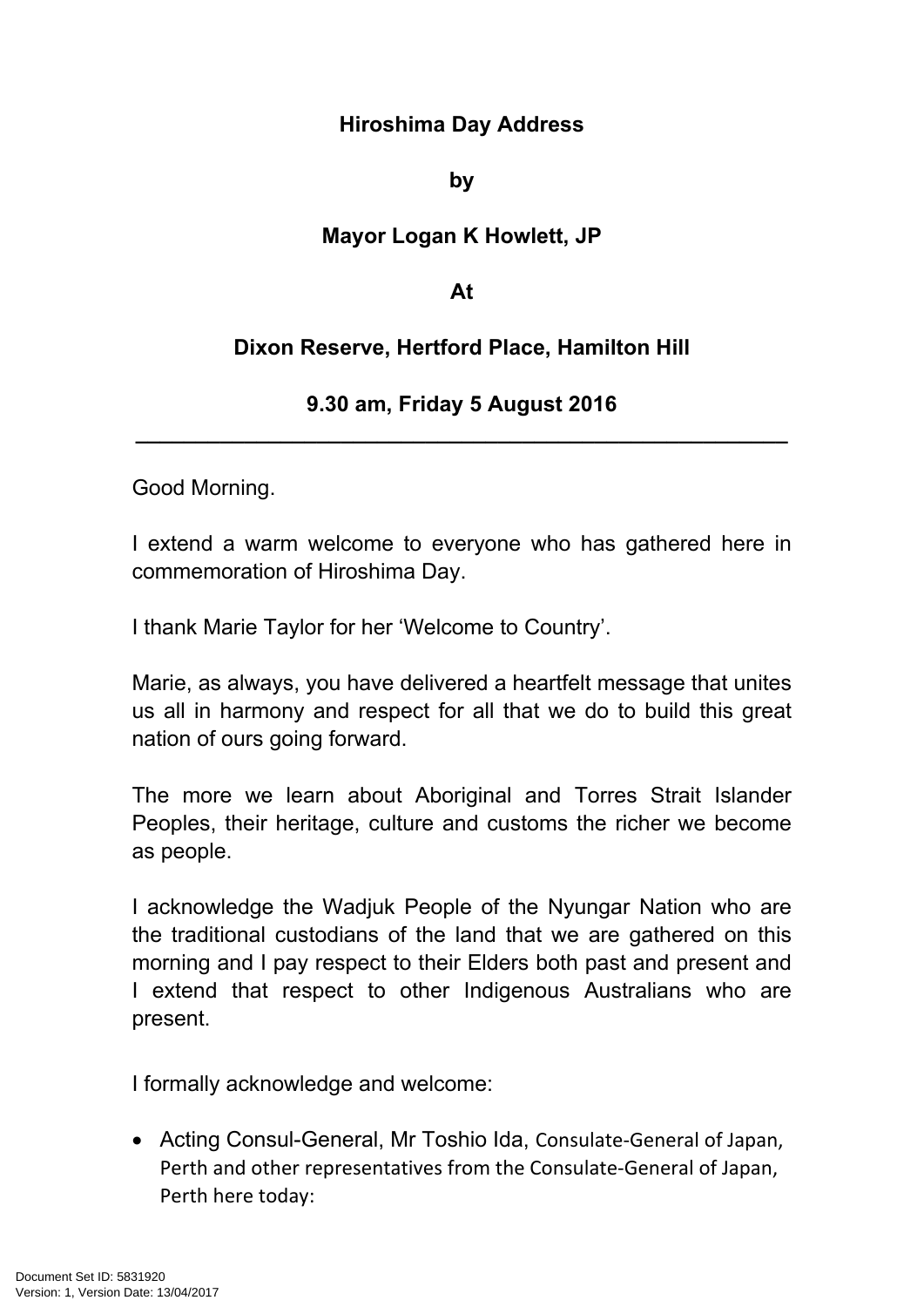### **Hiroshima Day Address**

**by**

### **Mayor Logan K Howlett, JP**

#### **At**

# **Dixon Reserve, Hertford Place, Hamilton Hill**

# **9.30 am, Friday 5 August 2016 \_\_\_\_\_\_\_\_\_\_\_\_\_\_\_\_\_\_\_\_\_\_\_\_\_\_\_\_\_\_\_\_\_\_\_\_\_\_\_\_\_\_\_\_\_\_\_\_\_\_\_\_\_\_**

Good Morning.

I extend a warm welcome to everyone who has gathered here in commemoration of Hiroshima Day.

I thank Marie Taylor for her 'Welcome to Country'.

Marie, as always, you have delivered a heartfelt message that unites us all in harmony and respect for all that we do to build this great nation of ours going forward.

The more we learn about Aboriginal and Torres Strait Islander Peoples, their heritage, culture and customs the richer we become as people.

I acknowledge the Wadjuk People of the Nyungar Nation who are the traditional custodians of the land that we are gathered on this morning and I pay respect to their Elders both past and present and I extend that respect to other Indigenous Australians who are present.

I formally acknowledge and welcome:

 Acting Consul-General, Mr Toshio Ida, Consulate-General of Japan, Perth and other representatives from the Consulate-General of Japan, Perth here today: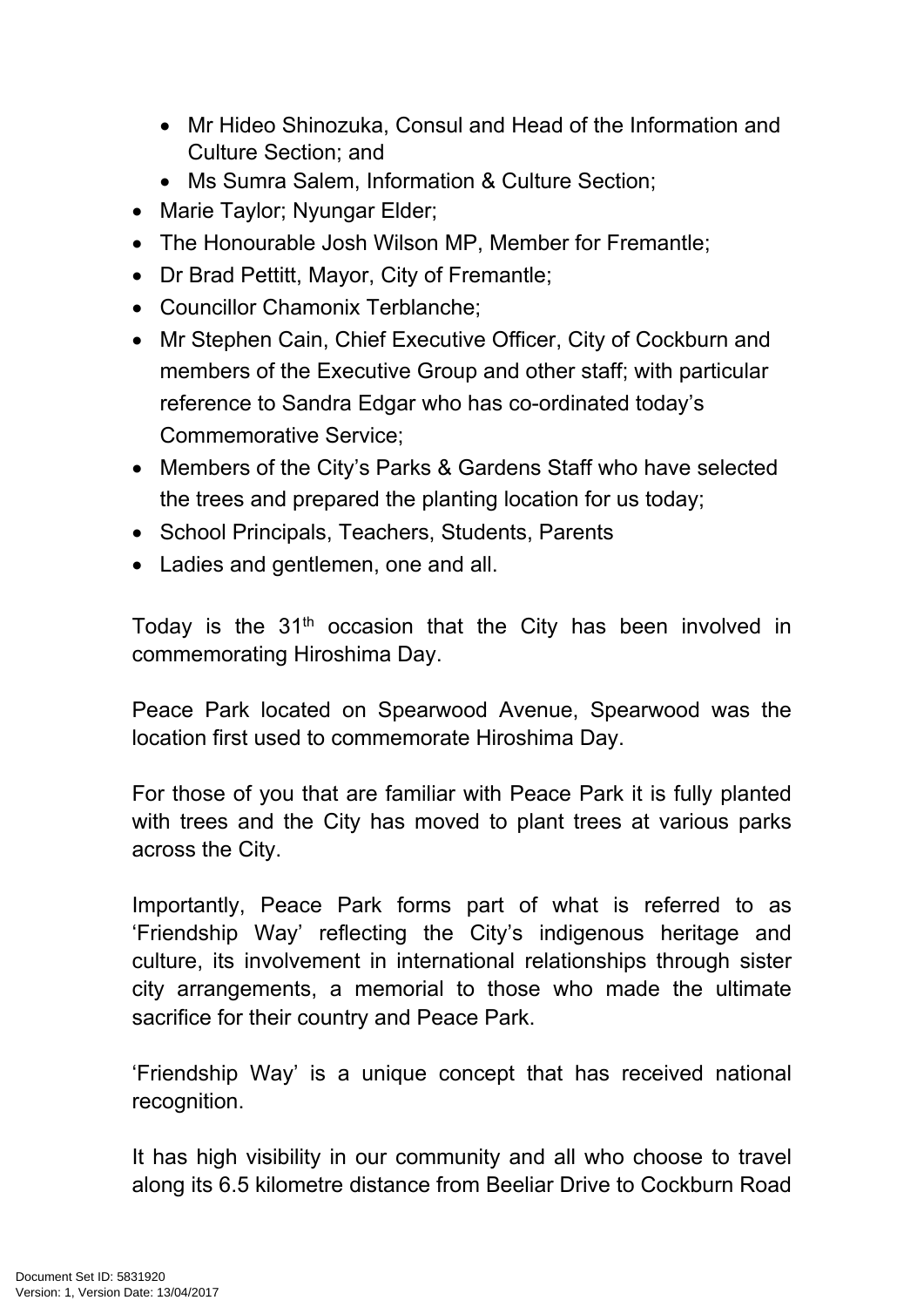- Mr Hideo Shinozuka, Consul and Head of the Information and Culture Section; and
- Ms Sumra Salem, Information & Culture Section;
- Marie Taylor; Nyungar Elder;
- The Honourable Josh Wilson MP, Member for Fremantle;
- Dr Brad Pettitt, Mayor, City of Fremantle;
- Councillor Chamonix Terblanche:
- Mr Stephen Cain, Chief Executive Officer, City of Cockburn and members of the Executive Group and other staff; with particular reference to Sandra Edgar who has co-ordinated today's Commemorative Service;
- Members of the City's Parks & Gardens Staff who have selected the trees and prepared the planting location for us today;
- School Principals, Teachers, Students, Parents
- Ladies and gentlemen, one and all.

Today is the  $31<sup>th</sup>$  occasion that the City has been involved in commemorating Hiroshima Day.

Peace Park located on Spearwood Avenue, Spearwood was the location first used to commemorate Hiroshima Day.

For those of you that are familiar with Peace Park it is fully planted with trees and the City has moved to plant trees at various parks across the City.

Importantly, Peace Park forms part of what is referred to as 'Friendship Way' reflecting the City's indigenous heritage and culture, its involvement in international relationships through sister city arrangements, a memorial to those who made the ultimate sacrifice for their country and Peace Park.

'Friendship Way' is a unique concept that has received national recognition.

It has high visibility in our community and all who choose to travel along its 6.5 kilometre distance from Beeliar Drive to Cockburn Road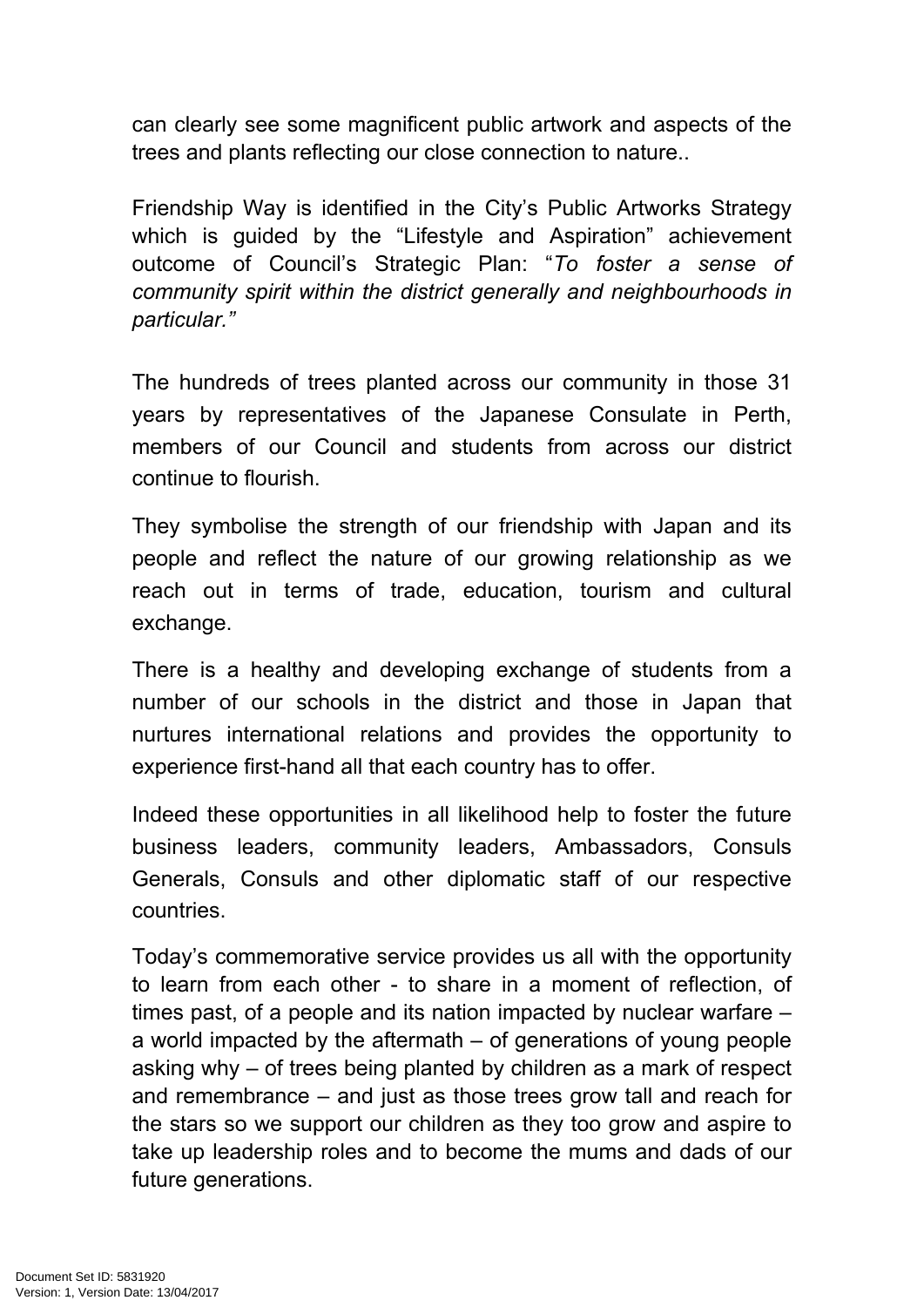can clearly see some magnificent public artwork and aspects of the trees and plants reflecting our close connection to nature..

Friendship Way is identified in the City's Public Artworks Strategy which is guided by the "Lifestyle and Aspiration" achievement outcome of Council's Strategic Plan: "*To foster a sense of community spirit within the district generally and neighbourhoods in particular."*

The hundreds of trees planted across our community in those 31 years by representatives of the Japanese Consulate in Perth, members of our Council and students from across our district continue to flourish.

They symbolise the strength of our friendship with Japan and its people and reflect the nature of our growing relationship as we reach out in terms of trade, education, tourism and cultural exchange.

There is a healthy and developing exchange of students from a number of our schools in the district and those in Japan that nurtures international relations and provides the opportunity to experience first-hand all that each country has to offer.

Indeed these opportunities in all likelihood help to foster the future business leaders, community leaders, Ambassadors, Consuls Generals, Consuls and other diplomatic staff of our respective countries.

Today's commemorative service provides us all with the opportunity to learn from each other - to share in a moment of reflection, of times past, of a people and its nation impacted by nuclear warfare – a world impacted by the aftermath – of generations of young people asking why – of trees being planted by children as a mark of respect and remembrance – and just as those trees grow tall and reach for the stars so we support our children as they too grow and aspire to take up leadership roles and to become the mums and dads of our future generations.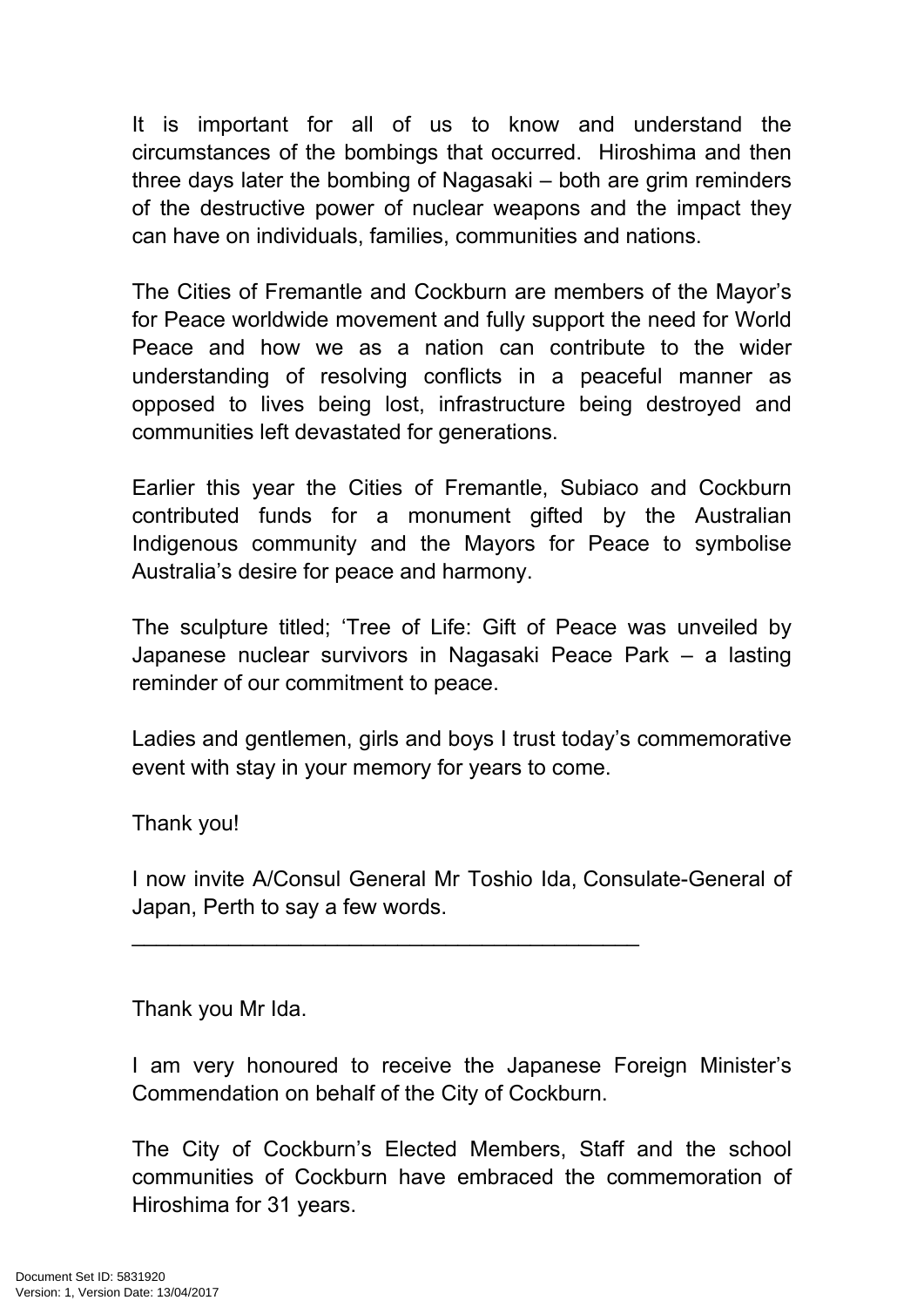It is important for all of us to know and understand the circumstances of the bombings that occurred. Hiroshima and then three days later the bombing of Nagasaki – both are grim reminders of the destructive power of nuclear weapons and the impact they can have on individuals, families, communities and nations.

The Cities of Fremantle and Cockburn are members of the Mayor's for Peace worldwide movement and fully support the need for World Peace and how we as a nation can contribute to the wider understanding of resolving conflicts in a peaceful manner as opposed to lives being lost, infrastructure being destroyed and communities left devastated for generations.

Earlier this year the Cities of Fremantle, Subiaco and Cockburn contributed funds for a monument gifted by the Australian Indigenous community and the Mayors for Peace to symbolise Australia's desire for peace and harmony.

The sculpture titled; 'Tree of Life: Gift of Peace was unveiled by Japanese nuclear survivors in Nagasaki Peace Park – a lasting reminder of our commitment to peace.

Ladies and gentlemen, girls and boys I trust today's commemorative event with stay in your memory for years to come.

Thank you!

I now invite A/Consul General Mr Toshio Ida, Consulate-General of Japan, Perth to say a few words.

\_\_\_\_\_\_\_\_\_\_\_\_\_\_\_\_\_\_\_\_\_\_\_\_\_\_\_\_\_\_\_\_\_\_\_\_\_\_\_\_\_\_

Thank you Mr Ida.

I am very honoured to receive the Japanese Foreign Minister's Commendation on behalf of the City of Cockburn.

The City of Cockburn's Elected Members, Staff and the school communities of Cockburn have embraced the commemoration of Hiroshima for 31 years.